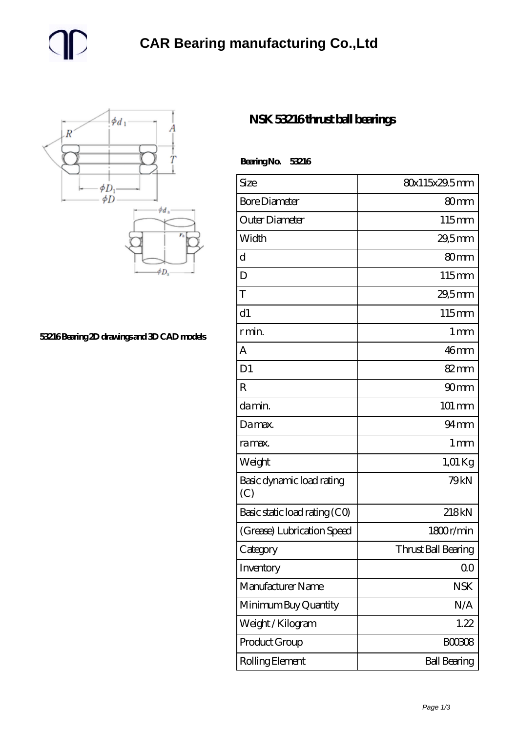



## **[53216 Bearing 2D drawings and 3D CAD models](https://m.gmgyb.com/pic-47897.html)**

## **[NSK 53216 thrust ball bearings](https://m.gmgyb.com/au-47897-nsk-53216-thrust-ball-bearings.html)**

| BearingNo.<br>53216              |                     |
|----------------------------------|---------------------|
| Size                             | 80x115x29.5mm       |
| <b>Bore Diameter</b>             | 80 <sub>mm</sub>    |
| Outer Diameter                   | 115mm               |
| Width                            | 29,5mm              |
| d                                | 80mm                |
| D                                | 115mm               |
| T                                | 29,5mm              |
| d1                               | 115mm               |
| r min.                           | $1 \,\mathrm{mm}$   |
| А                                | 46mm                |
| D <sub>1</sub>                   | 82mm                |
| R                                | 90 <sub>mm</sub>    |
| da min.                          | 101 mm              |
| Damax.                           | $94 \text{mm}$      |
| ra max.                          | 1 mm                |
| Weight                           | 1,01 Kg             |
| Basic dynamic load rating<br>(C) | 79 <sub>kN</sub>    |
| Basic static load rating (CO)    | 218kN               |
| (Grease) Lubrication Speed       | 1800r/min           |
| Category                         | Thrust Ball Bearing |
| Inventory                        | 0 <sub>0</sub>      |
| Manufacturer Name                | <b>NSK</b>          |
| Minimum Buy Quantity             | N/A                 |
| Weight/Kilogram                  | 1.22                |
| Product Group                    | <b>BOO3O8</b>       |
| Rolling Element                  | <b>Ball Bearing</b> |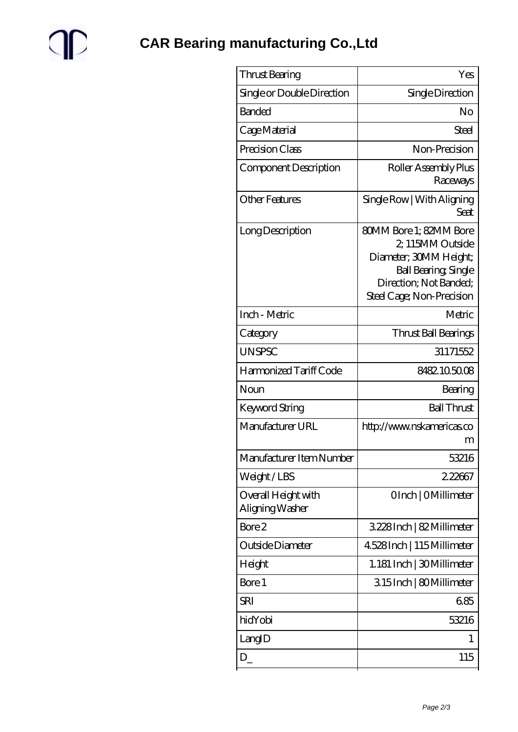

| Thrust Bearing                         | Yes                                                                                                                                                        |
|----------------------------------------|------------------------------------------------------------------------------------------------------------------------------------------------------------|
| Single or Double Direction             | Single Direction                                                                                                                                           |
| <b>Banded</b>                          | No                                                                                                                                                         |
| Cage Material                          | Steel                                                                                                                                                      |
| Precision Class                        | Non-Precision                                                                                                                                              |
| Component Description                  | Roller Assembly Plus<br>Raceways                                                                                                                           |
| Other Features                         | Single Row   With Aligning<br>Seat                                                                                                                         |
| Long Description                       | 80MM Bore 1; 82MM Bore<br>2, 115MM Outside<br>Diameter; 30MM Height;<br><b>Ball Bearing, Single</b><br>Direction; Not Banded;<br>Steel Cage; Non-Precision |
| Inch - Metric                          | Metric                                                                                                                                                     |
| Category                               | Thrust Ball Bearings                                                                                                                                       |
| <b>UNSPSC</b>                          | 31171552                                                                                                                                                   |
| Harmonized Tariff Code                 | 8482105008                                                                                                                                                 |
| Noun                                   | Bearing                                                                                                                                                    |
| <b>Keyword String</b>                  | <b>Ball Thrust</b>                                                                                                                                         |
| Manufacturer URL                       | http://www.nskamericas.co<br>m                                                                                                                             |
| Manufacturer Item Number               | 53216                                                                                                                                                      |
| Weight/LBS                             | 222667                                                                                                                                                     |
| Overall Height with<br>Aligning Washer | OInch   OMillimeter                                                                                                                                        |
| Bore 2                                 | 3228Inch   82 Millimeter                                                                                                                                   |
| Outside Diameter                       | 4.528 Inch   115 Millimeter                                                                                                                                |
| Height                                 | 1.181 Inch   30 Millimeter                                                                                                                                 |
| Bore 1                                 | 315Inch   80Millimeter                                                                                                                                     |
| SRI                                    | 685                                                                                                                                                        |
| hidYobi                                | 53216                                                                                                                                                      |
| LangID                                 | 1                                                                                                                                                          |
| $D_{-}$                                | 115                                                                                                                                                        |
|                                        |                                                                                                                                                            |